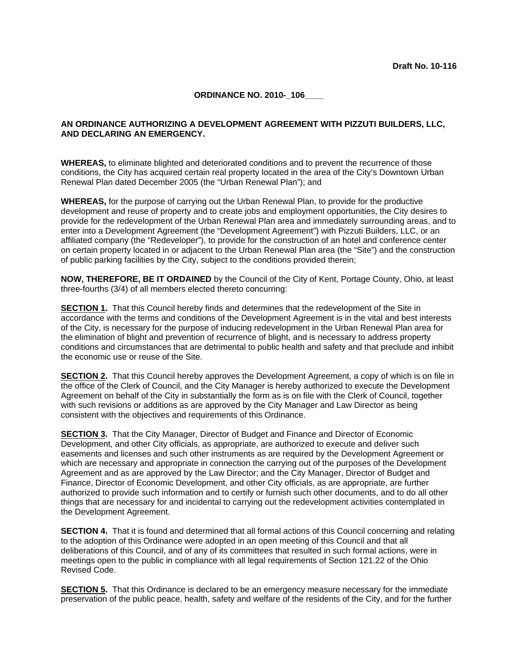## **ORDINANCE NO. 2010- 106**

## **AN ORDINANCE AUTHORIZING A DEVELOPMENT AGREEMENT WITH PIZZUTI BUILDERS, LLC, AND DECLARING AN EMERGENCY.**

**WHEREAS,** to eliminate blighted and deteriorated conditions and to prevent the recurrence of those conditions, the City has acquired certain real property located in the area of the City's Downtown Urban Renewal Plan dated December 2005 (the "Urban Renewal Plan"); and

**WHEREAS,** for the purpose of carrying out the Urban Renewal Plan, to provide for the productive development and reuse of property and to create jobs and employment opportunities, the City desires to provide for the redevelopment of the Urban Renewal Plan area and immediately surrounding areas, and to enter into a Development Agreement (the "Development Agreement") with Pizzuti Builders, LLC, or an affiliated company (the "Redeveloper"), to provide for the construction of an hotel and conference center on certain property located in or adjacent to the Urban Renewal Plan area (the "Site") and the construction of public parking facilities by the City, subject to the conditions provided therein;

**NOW, THEREFORE, BE IT ORDAINED** by the Council of the City of Kent, Portage County, Ohio, at least three-fourths (3/4) of all members elected thereto concurring:

**SECTION 1.** That this Council hereby finds and determines that the redevelopment of the Site in accordance with the terms and conditions of the Development Agreement is in the vital and best interests of the City, is necessary for the purpose of inducing redevelopment in the Urban Renewal Plan area for the elimination of blight and prevention of recurrence of blight, and is necessary to address property conditions and circumstances that are detrimental to public health and safety and that preclude and inhibit the economic use or reuse of the Site.

**SECTION 2.** That this Council hereby approves the Development Agreement, a copy of which is on file in the office of the Clerk of Council, and the City Manager is hereby authorized to execute the Development Agreement on behalf of the City in substantially the form as is on file with the Clerk of Council, together with such revisions or additions as are approved by the City Manager and Law Director as being consistent with the objectives and requirements of this Ordinance.

**SECTION 3.** That the City Manager, Director of Budget and Finance and Director of Economic Development, and other City officials, as appropriate, are authorized to execute and deliver such easements and licenses and such other instruments as are required by the Development Agreement or which are necessary and appropriate in connection the carrying out of the purposes of the Development Agreement and as are approved by the Law Director; and the City Manager, Director of Budget and Finance, Director of Economic Development, and other City officials, as are appropriate, are further authorized to provide such information and to certify or furnish such other documents, and to do all other things that are necessary for and incidental to carrying out the redevelopment activities contemplated in the Development Agreement.

**SECTION 4.** That it is found and determined that all formal actions of this Council concerning and relating to the adoption of this Ordinance were adopted in an open meeting of this Council and that all deliberations of this Council, and of any of its committees that resulted in such formal actions, were in meetings open to the public in compliance with all legal requirements of Section 121.22 of the Ohio Revised Code.

**SECTION 5.** That this Ordinance is declared to be an emergency measure necessary for the immediate preservation of the public peace, health, safety and welfare of the residents of the City, and for the further